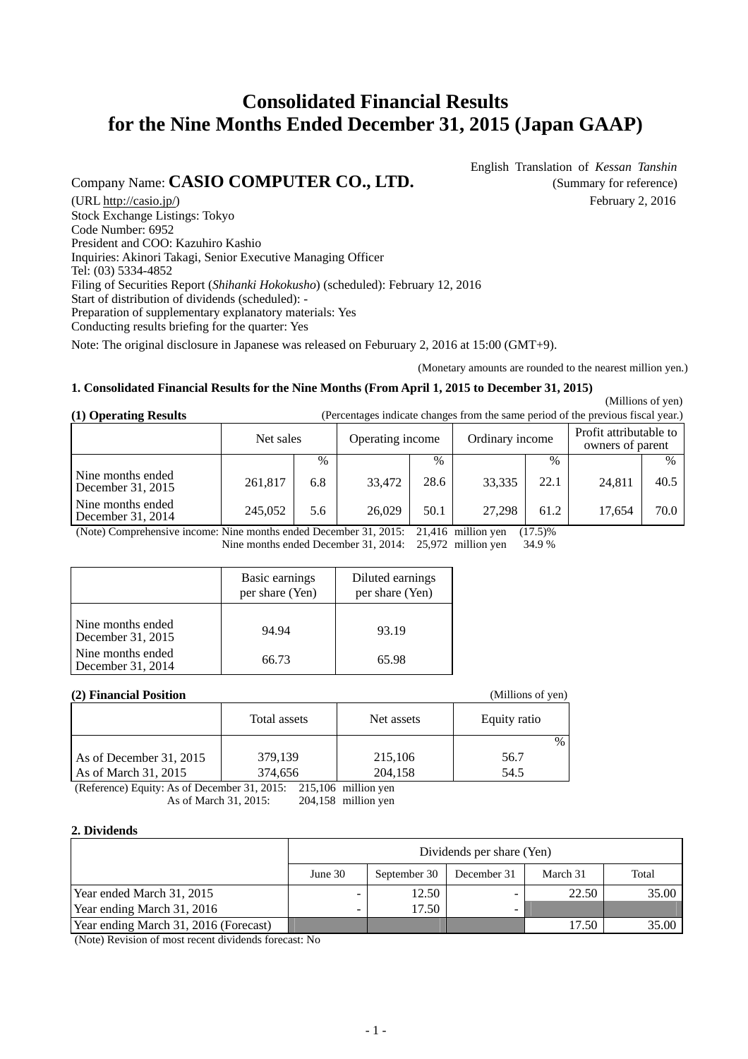# **Consolidated Financial Results for the Nine Months Ended December 31, 2015 (Japan GAAP)**

# Company Name: **CASIO COMPUTER CO., LTD.** (Summary for reference)

English Translation of *Kessan Tanshin*

(URL [http://casio.jp/\)](http://casio.jp/) February 2, 2016 Stock Exchange Listings: Tokyo Code Number: 6952 President and COO: Kazuhiro Kashio Inquiries: Akinori Takagi, Senior Executive Managing Officer Tel: (03) 5334-4852 Filing of Securities Report (*Shihanki Hokokusho*) (scheduled): February 12, 2016 Start of distribution of dividends (scheduled): - Preparation of supplementary explanatory materials: Yes Conducting results briefing for the quarter: Yes

Note: The original disclosure in Japanese was released on Feburuary 2, 2016 at 15:00 (GMT+9).

(Monetary amounts are rounded to the nearest million yen.)

#### **1. Consolidated Financial Results for the Nine Months (From April 1, 2015 to December 31, 2015)**

 $(1)$   $\Omega$   $($   $)$   $\Omega$   $($   $)$   $($   $)$   $($   $)$   $($   $)$   $($   $)$   $($   $)$   $($   $)$   $($   $)$   $($   $)$   $($   $)$   $($   $)$   $($   $)$   $($   $)$   $($   $)$   $($   $)$   $($   $)$   $($   $)$   $($   $)$   $($   $)$   $($   $)$   $($   $)$   $($   $)$   $($   $)$   $($   $)$   $($ 

| (1) Operating Results                  | (Percentages indicate changes from the same period of the previous fiscal year.) |               |                  |               |                 |               |                                            |      |
|----------------------------------------|----------------------------------------------------------------------------------|---------------|------------------|---------------|-----------------|---------------|--------------------------------------------|------|
|                                        | Net sales                                                                        |               | Operating income |               | Ordinary income |               | Profit attributable to<br>owners of parent |      |
|                                        |                                                                                  | $\frac{0}{0}$ |                  | $\frac{0}{0}$ |                 | $\frac{0}{0}$ |                                            | $\%$ |
| Nine months ended<br>December 31, 2015 | 261,817                                                                          | 6.8           | 33,472           | 28.6          | 33,335          | 22.1          | 24,811                                     | 40.5 |
| Nine months ended<br>December 31, 2014 | 245,052                                                                          | 5.6           | 26,029           | 50.1          | 27,298          | 61.2          | 17.654                                     | 70.0 |

(Note) Comprehensive income: Nine months ended December 31, 2015: 21,416 million yen (17.5)%

Nine months ended December 31, 2014: 25,972 million yen 34.9 %

|                                        | Basic earnings<br>per share (Yen) | Diluted earnings<br>per share (Yen) |
|----------------------------------------|-----------------------------------|-------------------------------------|
| Nine months ended<br>December 31, 2015 | 94.94                             | 93.19                               |
| Nine months ended<br>December 31, 2014 | 66.73                             | 65.98                               |

### **(2) Financial Position**

| (2) Financial Position  |              |            | (Millions of yen) |
|-------------------------|--------------|------------|-------------------|
|                         | Total assets | Net assets | Equity ratio      |
|                         |              |            | $\frac{0}{0}$     |
| As of December 31, 2015 | 379,139      | 215,106    | 56.7              |
| As of March 31, 2015    | 374,656      | 204,158    | 54.5              |

(Reference) Equity: As of December 31, 2015: 215,106 million yen As of March 31, 2015: 204,158 million yen

#### **2. Dividends**

|                                       | Dividends per share (Yen)                                      |       |   |       |       |  |  |  |
|---------------------------------------|----------------------------------------------------------------|-------|---|-------|-------|--|--|--|
|                                       | Total<br>September 30<br>March 31<br>June $301$<br>December 31 |       |   |       |       |  |  |  |
| Year ended March 31, 2015             |                                                                | 12.50 | - | 22.50 | 35.00 |  |  |  |
| Year ending March 31, 2016            |                                                                | 17.50 | - |       |       |  |  |  |
| Year ending March 31, 2016 (Forecast) |                                                                |       |   | 17.50 | 35.00 |  |  |  |

(Note) Revision of most recent dividends forecast: No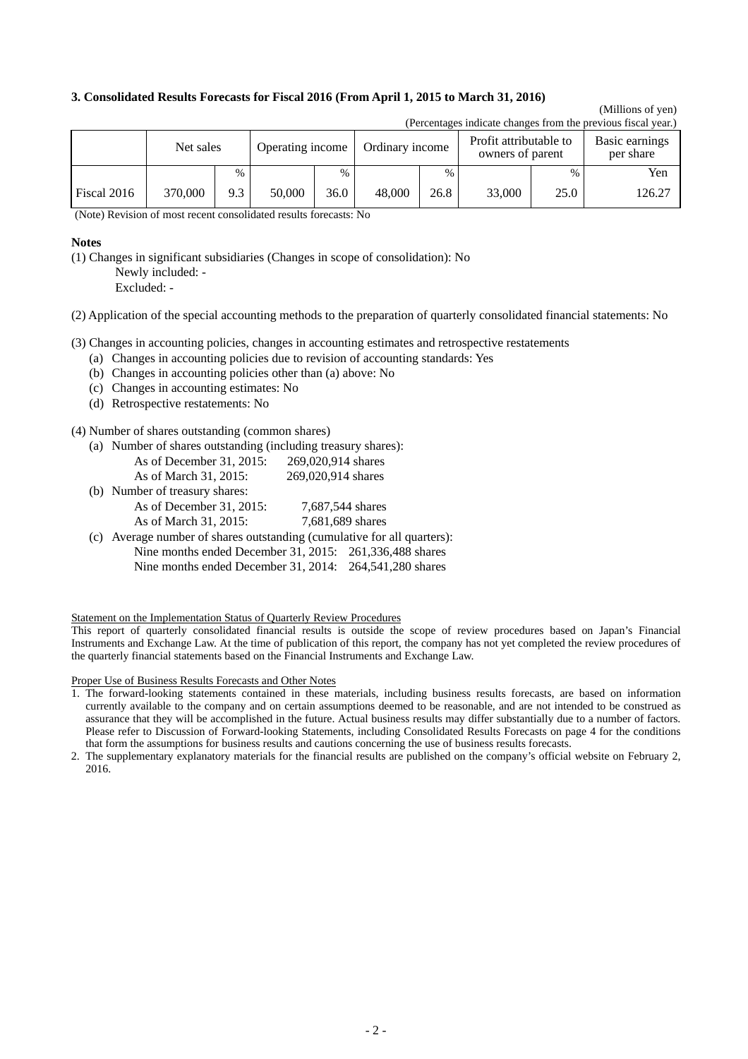#### **3. Consolidated Results Forecasts for Fiscal 2016 (From April 1, 2015 to March 31, 2016)**

#### (Millions of yen) (Percentages indicate changes from the previous fiscal year.)

|             | (Felcentages muicate changes from the previous fiscal year.) |      |                  |                 |        |      |                                            |      |                             |  |
|-------------|--------------------------------------------------------------|------|------------------|-----------------|--------|------|--------------------------------------------|------|-----------------------------|--|
|             | Net sales                                                    |      | Operating income | Ordinary income |        |      | Profit attributable to<br>owners of parent |      | Basic earnings<br>per share |  |
|             |                                                              | $\%$ |                  | $\%$            |        | $\%$ |                                            | $\%$ | Yen                         |  |
| Fiscal 2016 | 370,000                                                      | 9.3  | 50,000           | 36.0            | 48,000 | 26.8 | 33,000                                     | 25.0 | 126.27                      |  |

(Note) Revision of most recent consolidated results forecasts: No

#### **Notes**

(1) Changes in significant subsidiaries (Changes in scope of consolidation): No Newly included: -

Excluded: -

(2) Application of the special accounting methods to the preparation of quarterly consolidated financial statements: No

(3) Changes in accounting policies, changes in accounting estimates and retrospective restatements

- (a) Changes in accounting policies due to revision of accounting standards: Yes
- (b) Changes in accounting policies other than (a) above: No
- (c) Changes in accounting estimates: No
- (d) Retrospective restatements: No

(4) Number of shares outstanding (common shares)

(a) Number of shares outstanding (including treasury shares):

| As of December $31, 2015$ : | 269,020,914 shares |
|-----------------------------|--------------------|
| As of March 31, 2015:       | 269,020,914 shares |

| (b) Number of treasury shares: |                  |
|--------------------------------|------------------|
| As of December $31, 2015$ :    | 7,687,544 shares |
| As of March 31, 2015:          | 7,681,689 shares |

(c) Average number of shares outstanding (cumulative for all quarters): Nine months ended December 31, 2015: 261,336,488 shares Nine months ended December 31, 2014: 264,541,280 shares

Statement on the Implementation Status of Quarterly Review Procedures

This report of quarterly consolidated financial results is outside the scope of review procedures based on Japan's Financial Instruments and Exchange Law. At the time of publication of this report, the company has not yet completed the review procedures of the quarterly financial statements based on the Financial Instruments and Exchange Law.

Proper Use of Business Results Forecasts and Other Notes

<sup>1.</sup> The forward-looking statements contained in these materials, including business results forecasts, are based on information currently available to the company and on certain assumptions deemed to be reasonable, and are not intended to be construed as assurance that they will be accomplished in the future. Actual business results may differ substantially due to a number of factors. Please refer to Discussion of Forward-looking Statements, including Consolidated Results Forecasts on page 4 for the conditions that form the assumptions for business results and cautions concerning the use of business results forecasts.

<sup>2.</sup> The supplementary explanatory materials for the financial results are published on the company's official website on February 2, 2016.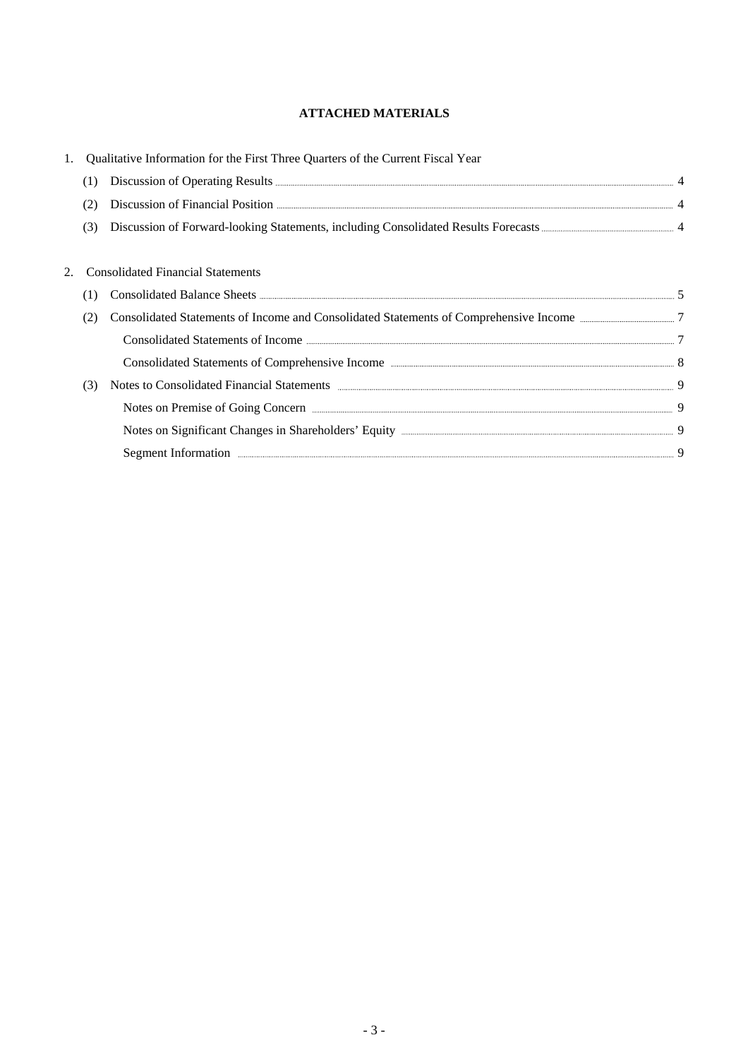# **ATTACHED MATERIALS**

|     | Qualitative Information for the First Three Quarters of the Current Fiscal Year                                                                                                                                                      |  |
|-----|--------------------------------------------------------------------------------------------------------------------------------------------------------------------------------------------------------------------------------------|--|
|     | Discussion of Operating Results <b>Executes</b> 4                                                                                                                                                                                    |  |
|     | Discussion of Financial Position <b>Exercise Active Active Active Active Active Active Active Active Active Active Active Active Active Active Active Active Active Active Active Active Active Active Active Active Active Acti</b> |  |
| (3) |                                                                                                                                                                                                                                      |  |
|     |                                                                                                                                                                                                                                      |  |
|     | <b>Consolidated Financial Statements</b>                                                                                                                                                                                             |  |
|     |                                                                                                                                                                                                                                      |  |
|     |                                                                                                                                                                                                                                      |  |
|     | Consolidated Statements of Income <b>Exercise 2016</b> 7                                                                                                                                                                             |  |
|     |                                                                                                                                                                                                                                      |  |
| (3) | Notes to Consolidated Financial Statements <b>Exercise Consolidated</b> Financial Statements <b>1996</b>                                                                                                                             |  |
|     | Notes on Premise of Going Concern <u>manufactured by the contract of Going Concern</u> 9                                                                                                                                             |  |
|     | Notes on Significant Changes in Shareholders' Equity <b>Equiliber 2016</b> 19 9                                                                                                                                                      |  |
|     | Segment Information <b>Example 2018</b> 9                                                                                                                                                                                            |  |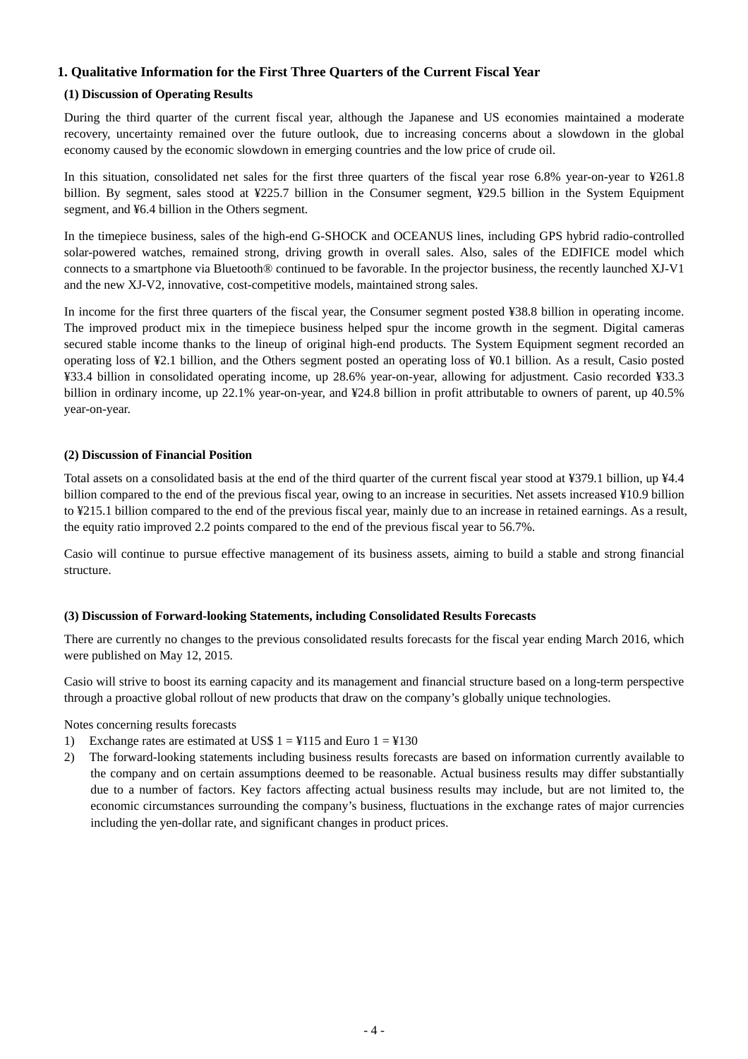### **1. Qualitative Information for the First Three Quarters of the Current Fiscal Year**

### **(1) Discussion of Operating Results**

During the third quarter of the current fiscal year, although the Japanese and US economies maintained a moderate recovery, uncertainty remained over the future outlook, due to increasing concerns about a slowdown in the global economy caused by the economic slowdown in emerging countries and the low price of crude oil.

In this situation, consolidated net sales for the first three quarters of the fiscal year rose 6.8% year-on-year to ¥261.8 billion. By segment, sales stood at ¥225.7 billion in the Consumer segment, ¥29.5 billion in the System Equipment segment, and ¥6.4 billion in the Others segment.

In the timepiece business, sales of the high-end G-SHOCK and OCEANUS lines, including GPS hybrid radio-controlled solar-powered watches, remained strong, driving growth in overall sales. Also, sales of the EDIFICE model which connects to a smartphone via Bluetooth® continued to be favorable. In the projector business, the recently launched XJ-V1 and the new XJ-V2, innovative, cost-competitive models, maintained strong sales.

In income for the first three quarters of the fiscal year, the Consumer segment posted ¥38.8 billion in operating income. The improved product mix in the timepiece business helped spur the income growth in the segment. Digital cameras secured stable income thanks to the lineup of original high-end products. The System Equipment segment recorded an operating loss of ¥2.1 billion, and the Others segment posted an operating loss of ¥0.1 billion. As a result, Casio posted ¥33.4 billion in consolidated operating income, up 28.6% year-on-year, allowing for adjustment. Casio recorded ¥33.3 billion in ordinary income, up 22.1% year-on-year, and ¥24.8 billion in profit attributable to owners of parent, up 40.5% year-on-year.

#### **(2) Discussion of Financial Position**

Total assets on a consolidated basis at the end of the third quarter of the current fiscal year stood at ¥379.1 billion, up ¥4.4 billion compared to the end of the previous fiscal year, owing to an increase in securities. Net assets increased ¥10.9 billion to ¥215.1 billion compared to the end of the previous fiscal year, mainly due to an increase in retained earnings. As a result, the equity ratio improved 2.2 points compared to the end of the previous fiscal year to 56.7%.

Casio will continue to pursue effective management of its business assets, aiming to build a stable and strong financial structure.

#### **(3) Discussion of Forward-looking Statements, including Consolidated Results Forecasts**

There are currently no changes to the previous consolidated results forecasts for the fiscal year ending March 2016, which were published on May 12, 2015.

Casio will strive to boost its earning capacity and its management and financial structure based on a long-term perspective through a proactive global rollout of new products that draw on the company's globally unique technologies.

Notes concerning results forecasts

- 1) Exchange rates are estimated at US\$  $1 = 4115$  and Euro  $1 = 4130$
- 2) The forward-looking statements including business results forecasts are based on information currently available to the company and on certain assumptions deemed to be reasonable. Actual business results may differ substantially due to a number of factors. Key factors affecting actual business results may include, but are not limited to, the economic circumstances surrounding the company's business, fluctuations in the exchange rates of major currencies including the yen-dollar rate, and significant changes in product prices.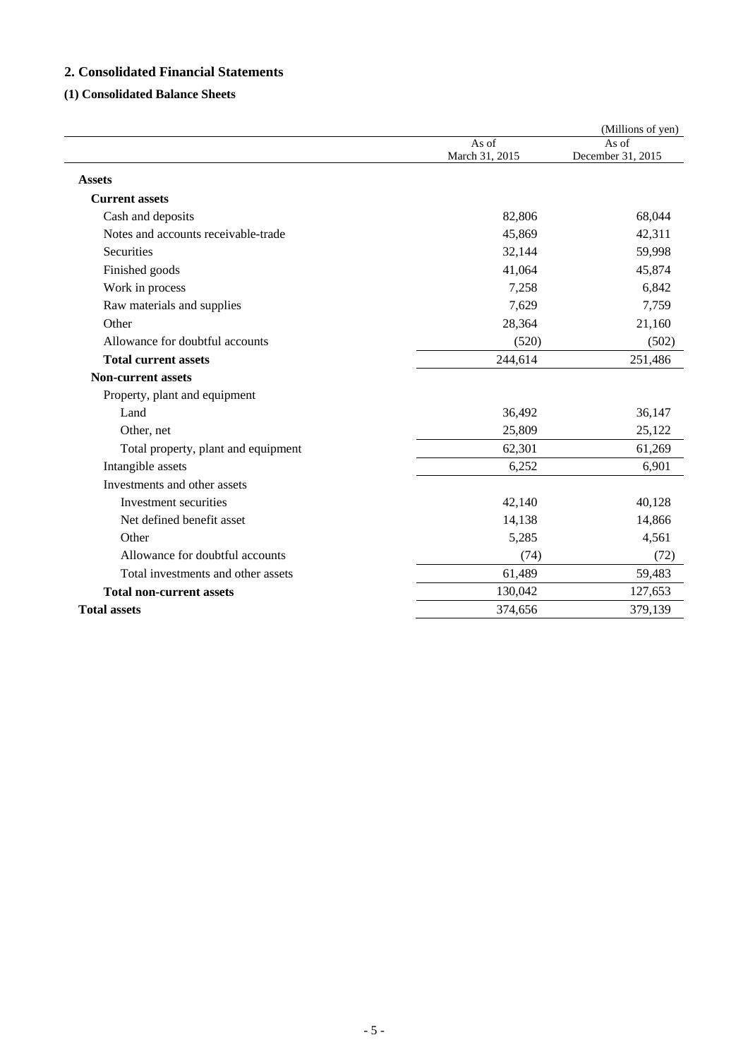# **2. Consolidated Financial Statements**

# **(1) Consolidated Balance Sheets**

|                                     |                         | (Millions of yen)          |
|-------------------------------------|-------------------------|----------------------------|
|                                     | As of<br>March 31, 2015 | As of<br>December 31, 2015 |
|                                     |                         |                            |
| <b>Assets</b>                       |                         |                            |
| <b>Current assets</b>               |                         |                            |
| Cash and deposits                   | 82,806                  | 68,044                     |
| Notes and accounts receivable-trade | 45,869                  | 42,311                     |
| Securities                          | 32,144                  | 59,998                     |
| Finished goods                      | 41,064                  | 45,874                     |
| Work in process                     | 7,258                   | 6,842                      |
| Raw materials and supplies          | 7,629                   | 7,759                      |
| Other                               | 28,364                  | 21,160                     |
| Allowance for doubtful accounts     | (520)                   | (502)                      |
| <b>Total current assets</b>         | 244,614                 | 251,486                    |
| <b>Non-current assets</b>           |                         |                            |
| Property, plant and equipment       |                         |                            |
| Land                                | 36,492                  | 36,147                     |
| Other, net                          | 25,809                  | 25,122                     |
| Total property, plant and equipment | 62,301                  | 61,269                     |
| Intangible assets                   | 6,252                   | 6,901                      |
| Investments and other assets        |                         |                            |
| Investment securities               | 42,140                  | 40,128                     |
| Net defined benefit asset           | 14,138                  | 14,866                     |
| Other                               | 5,285                   | 4,561                      |
| Allowance for doubtful accounts     | (74)                    | (72)                       |
| Total investments and other assets  | 61,489                  | 59,483                     |
| <b>Total non-current assets</b>     | 130,042                 | 127,653                    |
| <b>Total assets</b>                 | 374,656                 | 379,139                    |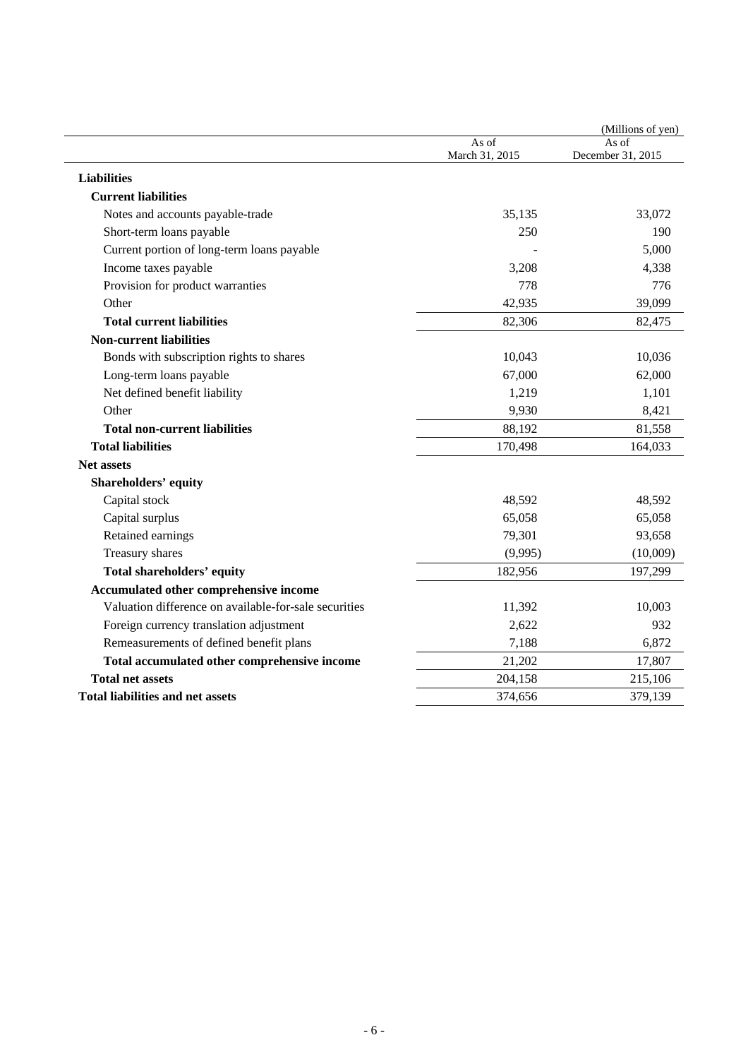|                                                                                                                                                                                                                                                                                               |                                        | (Millions of yen)          |
|-----------------------------------------------------------------------------------------------------------------------------------------------------------------------------------------------------------------------------------------------------------------------------------------------|----------------------------------------|----------------------------|
|                                                                                                                                                                                                                                                                                               | As of<br>March 31, 2015                | As of<br>December 31, 2015 |
|                                                                                                                                                                                                                                                                                               |                                        |                            |
| <b>Liabilities</b>                                                                                                                                                                                                                                                                            |                                        |                            |
| <b>Current liabilities</b>                                                                                                                                                                                                                                                                    |                                        |                            |
| Notes and accounts payable-trade                                                                                                                                                                                                                                                              | 35,135                                 | 33,072                     |
| Short-term loans payable                                                                                                                                                                                                                                                                      | 250                                    | 190                        |
| Current portion of long-term loans payable                                                                                                                                                                                                                                                    |                                        | 5,000                      |
| Income taxes payable                                                                                                                                                                                                                                                                          | 3,208                                  | 4,338                      |
| Provision for product warranties                                                                                                                                                                                                                                                              | 778                                    | 776                        |
| Other                                                                                                                                                                                                                                                                                         | 42,935                                 | 39,099                     |
| <b>Total current liabilities</b>                                                                                                                                                                                                                                                              | 82,306                                 | 82,475                     |
| <b>Non-current liabilities</b>                                                                                                                                                                                                                                                                |                                        |                            |
| Bonds with subscription rights to shares                                                                                                                                                                                                                                                      | 10,043                                 | 10,036                     |
| Long-term loans payable                                                                                                                                                                                                                                                                       | 67,000                                 | 62,000                     |
| Net defined benefit liability                                                                                                                                                                                                                                                                 | 1,219                                  | 1,101                      |
| Other                                                                                                                                                                                                                                                                                         | 9,930                                  | 8,421                      |
| <b>Total non-current liabilities</b>                                                                                                                                                                                                                                                          | 88,192                                 | 81,558                     |
| <b>Total liabilities</b>                                                                                                                                                                                                                                                                      | 170,498                                | 164,033                    |
| <b>Net assets</b>                                                                                                                                                                                                                                                                             |                                        |                            |
| <b>Shareholders' equity</b>                                                                                                                                                                                                                                                                   |                                        |                            |
| Capital stock                                                                                                                                                                                                                                                                                 | 48,592                                 | 48,592                     |
| Capital surplus                                                                                                                                                                                                                                                                               | 65,058                                 | 65,058                     |
| Retained earnings                                                                                                                                                                                                                                                                             | 79,301                                 | 93,658                     |
|                                                                                                                                                                                                                                                                                               | (9,995)                                | (10,009)                   |
|                                                                                                                                                                                                                                                                                               | 182,956                                | 197,299                    |
|                                                                                                                                                                                                                                                                                               |                                        |                            |
|                                                                                                                                                                                                                                                                                               |                                        | 10,003                     |
|                                                                                                                                                                                                                                                                                               | 2,622                                  | 932                        |
|                                                                                                                                                                                                                                                                                               | 7,188                                  | 6,872                      |
|                                                                                                                                                                                                                                                                                               |                                        | 17,807                     |
| <b>Total net assets</b>                                                                                                                                                                                                                                                                       |                                        | 215,106                    |
| <b>Total liabilities and net assets</b>                                                                                                                                                                                                                                                       |                                        | 379,139                    |
| Treasury shares<br><b>Total shareholders' equity</b><br>Accumulated other comprehensive income<br>Valuation difference on available-for-sale securities<br>Foreign currency translation adjustment<br>Remeasurements of defined benefit plans<br>Total accumulated other comprehensive income | 11,392<br>21,202<br>204,158<br>374,656 |                            |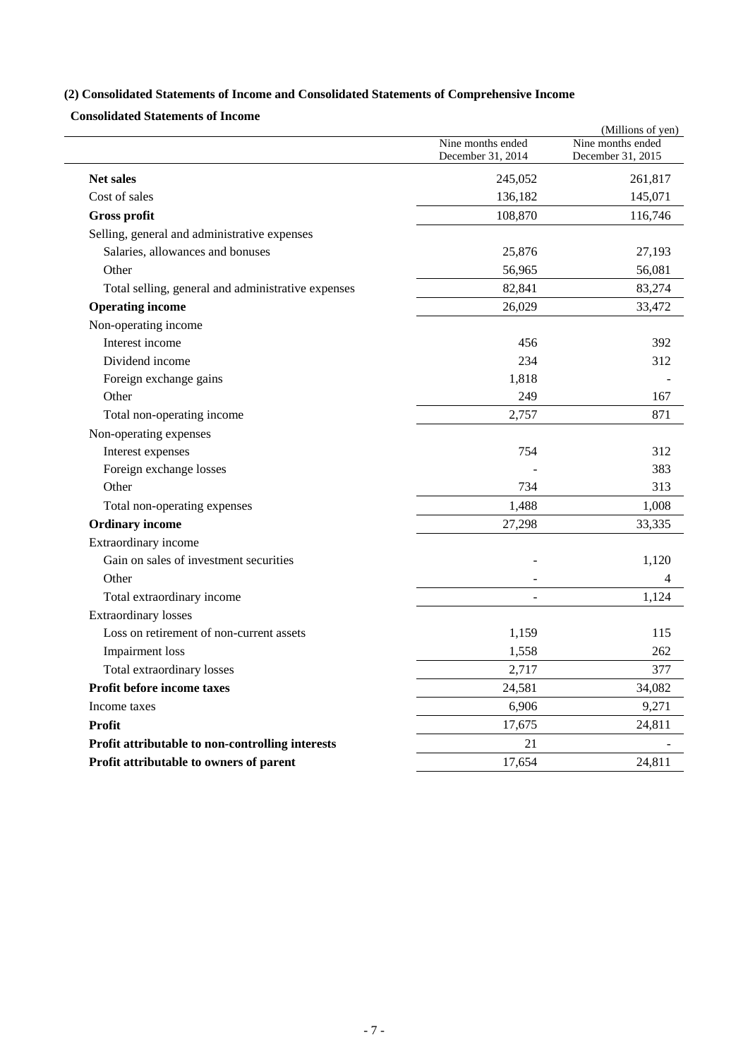# **(2) Consolidated Statements of Income and Consolidated Statements of Comprehensive Income**

**Consolidated Statements of Income** 

|                                                    |                                        | (Millions of yen)                      |
|----------------------------------------------------|----------------------------------------|----------------------------------------|
|                                                    | Nine months ended<br>December 31, 2014 | Nine months ended<br>December 31, 2015 |
| <b>Net sales</b>                                   | 245,052                                | 261,817                                |
| Cost of sales                                      | 136,182                                | 145,071                                |
| <b>Gross profit</b>                                | 108,870                                | 116,746                                |
| Selling, general and administrative expenses       |                                        |                                        |
| Salaries, allowances and bonuses                   | 25,876                                 | 27,193                                 |
| Other                                              | 56,965                                 | 56,081                                 |
| Total selling, general and administrative expenses | 82,841                                 | 83,274                                 |
| <b>Operating income</b>                            | 26,029                                 | 33,472                                 |
| Non-operating income                               |                                        |                                        |
| Interest income                                    | 456                                    | 392                                    |
| Dividend income                                    | 234                                    | 312                                    |
| Foreign exchange gains                             | 1,818                                  |                                        |
| Other                                              | 249                                    | 167                                    |
| Total non-operating income                         | 2,757                                  | 871                                    |
| Non-operating expenses                             |                                        |                                        |
| Interest expenses                                  | 754                                    | 312                                    |
| Foreign exchange losses                            |                                        | 383                                    |
| Other                                              | 734                                    | 313                                    |
| Total non-operating expenses                       | 1,488                                  | 1,008                                  |
| <b>Ordinary income</b>                             | 27,298                                 | 33,335                                 |
| Extraordinary income                               |                                        |                                        |
| Gain on sales of investment securities             |                                        | 1,120                                  |
| Other                                              |                                        | 4                                      |
| Total extraordinary income                         |                                        | 1,124                                  |
| <b>Extraordinary losses</b>                        |                                        |                                        |
| Loss on retirement of non-current assets           | 1,159                                  | 115                                    |
| Impairment loss                                    | 1,558                                  | 262                                    |
| Total extraordinary losses                         | 2,717                                  | 377                                    |
| <b>Profit before income taxes</b>                  | 24,581                                 | 34,082                                 |
| Income taxes                                       | 6,906                                  | 9,271                                  |
| Profit                                             | 17,675                                 | 24,811                                 |
| Profit attributable to non-controlling interests   | 21                                     |                                        |
| Profit attributable to owners of parent            | 17,654                                 | 24,811                                 |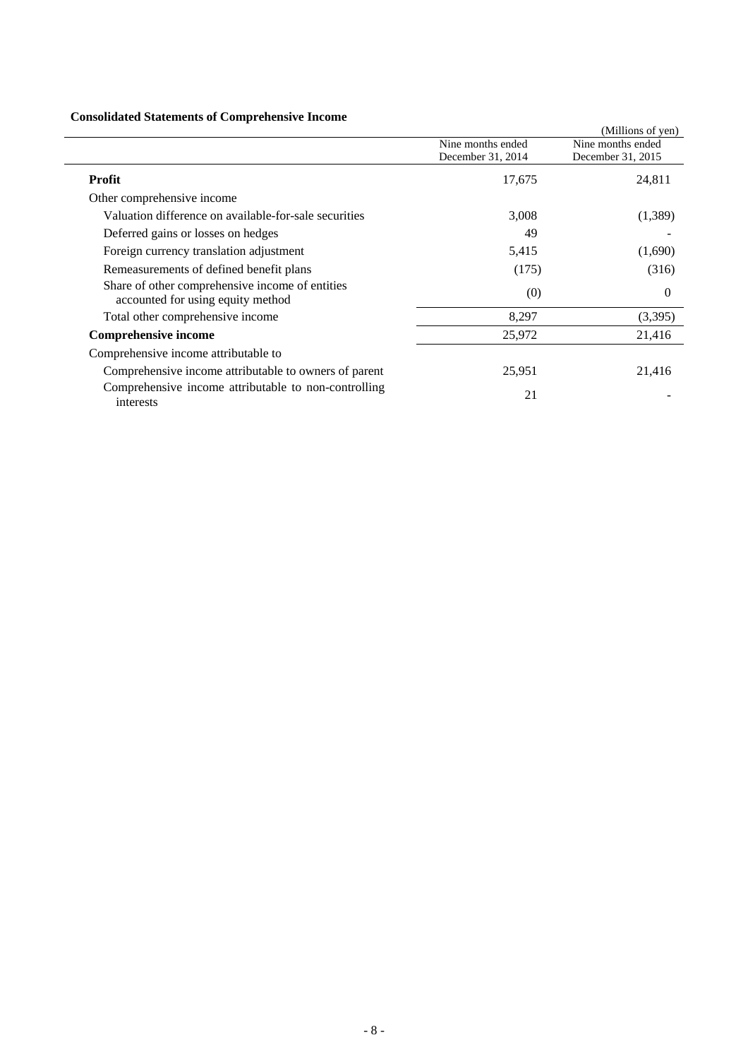# **Consolidated Statements of Comprehensive Income**

| Consonuated Blatements of Complements of Income                                      |                   |                   |
|--------------------------------------------------------------------------------------|-------------------|-------------------|
|                                                                                      |                   | (Millions of yen) |
|                                                                                      | Nine months ended | Nine months ended |
|                                                                                      | December 31, 2014 | December 31, 2015 |
| <b>Profit</b>                                                                        | 17,675            | 24,811            |
| Other comprehensive income                                                           |                   |                   |
| Valuation difference on available-for-sale securities                                | 3,008             | (1,389)           |
| Deferred gains or losses on hedges                                                   | 49                |                   |
| Foreign currency translation adjustment                                              | 5,415             | (1,690)           |
| Remeasurements of defined benefit plans                                              | (175)             | (316)             |
| Share of other comprehensive income of entities<br>accounted for using equity method | (0)               | $\Omega$          |
| Total other comprehensive income                                                     | 8,297             | (3,395)           |
| <b>Comprehensive income</b>                                                          | 25,972            | 21,416            |
| Comprehensive income attributable to                                                 |                   |                   |
| Comprehensive income attributable to owners of parent                                | 25,951            | 21,416            |
| Comprehensive income attributable to non-controlling<br>interests                    | 21                |                   |